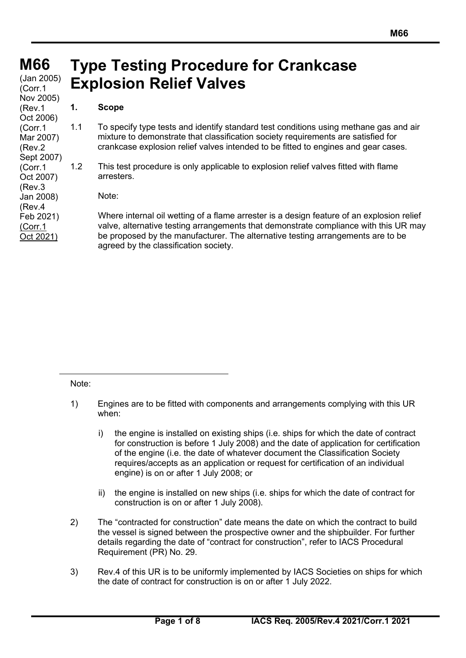# **M66 M66**

(Jan 2005)<br>*(Corr* 1 (Corr.1 Nov 2005) (Rev.1 Oct 2006) (Corr.1 Mar 2007) (Rev.2 Sept 2007) (Corr.1 Oct 2007) (Rev.3 Jan 2008) (Rev.4 Feb 2021) (Corr.1 Oct 2021)

# **Type Testing Procedure for Crankcase Explosion Relief Valves**

### **1. Scope**

- 1.1 To specify type tests and identify standard test conditions using methane gas and air mixture to demonstrate that classification society requirements are satisfied for crankcase explosion relief valves intended to be fitted to engines and gear cases.
- 1.2 This test procedure is only applicable to explosion relief valves fitted with flame arresters.

Note:

Where internal oil wetting of a flame arrester is a design feature of an explosion relief valve, alternative testing arrangements that demonstrate compliance with this UR may be proposed by the manufacturer. The alternative testing arrangements are to be agreed by the classification society.

Note:

- 1) Engines are to be fitted with components and arrangements complying with this UR when:
	- i) the engine is installed on existing ships (i.e. ships for which the date of contract for construction is before 1 July 2008) and the date of application for certification of the engine (i.e. the date of whatever document the Classification Society requires/accepts as an application or request for certification of an individual engine) is on or after 1 July 2008; or
	- ii) the engine is installed on new ships (i.e. ships for which the date of contract for construction is on or after 1 July 2008).
- 2) The "contracted for construction" date means the date on which the contract to build the vessel is signed between the prospective owner and the shipbuilder. For further details regarding the date of "contract for construction", refer to IACS Procedural Requirement (PR) No. 29.
- 3) Rev.4 of this UR is to be uniformly implemented by IACS Societies on ships for which the date of contract for construction is on or after 1 July 2022.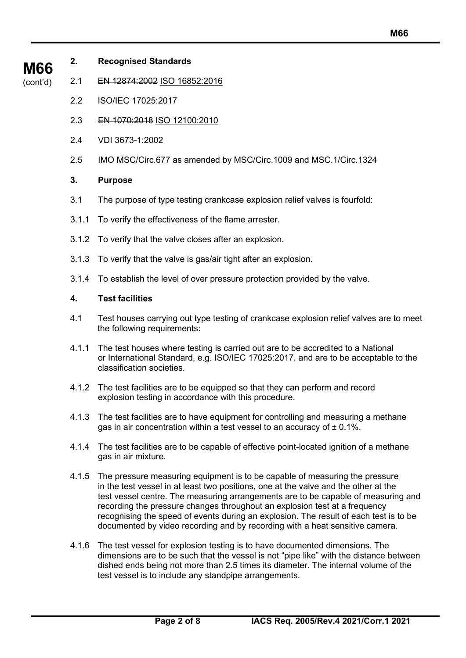- **2. Recognised Standards**
- (cont'd) 2.1 EN 12874:2002 ISO 16852:2016
	- 2.2 ISO/IEC 17025:2017
	- 2.3 EN 1070:2018 ISO 12100:2010
	- 2.4 VDI 3673-1:2002
	- 2.5 IMO MSC/Circ.677 as amended by MSC/Circ.1009 and MSC.1/Circ.1324

# **3. Purpose**

- 3.1 The purpose of type testing crankcase explosion relief valves is fourfold:
- 3.1.1 To verify the effectiveness of the flame arrester.
- 3.1.2 To verify that the valve closes after an explosion.
- 3.1.3 To verify that the valve is gas/air tight after an explosion.
- 3.1.4 To establish the level of over pressure protection provided by the valve.

## **4. Test facilities**

- 4.1 Test houses carrying out type testing of crankcase explosion relief valves are to meet the following requirements:
- 4.1.1 The test houses where testing is carried out are to be accredited to a National or International Standard, e.g. ISO/IEC 17025:2017, and are to be acceptable to the classification societies.
- 4.1.2 The test facilities are to be equipped so that they can perform and record explosion testing in accordance with this procedure.
- 4.1.3 The test facilities are to have equipment for controlling and measuring a methane gas in air concentration within a test vessel to an accuracy of  $\pm$  0.1%.
- 4.1.4 The test facilities are to be capable of effective point-located ignition of a methane gas in air mixture.
- 4.1.5 The pressure measuring equipment is to be capable of measuring the pressure in the test vessel in at least two positions, one at the valve and the other at the test vessel centre. The measuring arrangements are to be capable of measuring and recording the pressure changes throughout an explosion test at a frequency recognising the speed of events during an explosion. The result of each test is to be documented by video recording and by recording with a heat sensitive camera.
- 4.1.6 The test vessel for explosion testing is to have documented dimensions. The dimensions are to be such that the vessel is not "pipe like" with the distance between dished ends being not more than 2.5 times its diameter. The internal volume of the test vessel is to include any standpipe arrangements.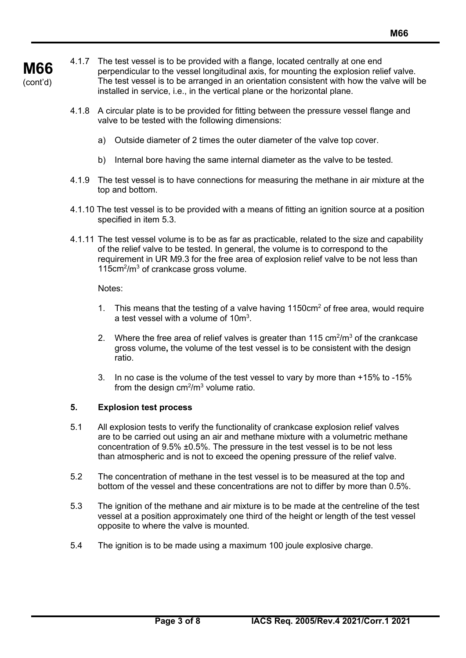- 4.1.7 The test vessel is to be provided with a flange, located centrally at one end perpendicular to the vessel longitudinal axis, for mounting the explosion relief valve. The test vessel is to be arranged in an orientation consistent with how the valve will be installed in service, i.e., in the vertical plane or the horizontal plane.
	- 4.1.8 A circular plate is to be provided for fitting between the pressure vessel flange and valve to be tested with the following dimensions:
		- a) Outside diameter of 2 times the outer diameter of the valve top cover.
		- b) Internal bore having the same internal diameter as the valve to be tested.
	- 4.1.9 The test vessel is to have connections for measuring the methane in air mixture at the top and bottom.
	- 4.1.10 The test vessel is to be provided with a means of fitting an ignition source at a position specified in item 5.3.
	- 4.1.11 The test vessel volume is to be as far as practicable, related to the size and capability of the relief valve to be tested. In general, the volume is to correspond to the requirement in UR M9.3 for the free area of explosion relief valve to be not less than 115cm<sup>2</sup>/m<sup>3</sup> of crankcase gross volume.

Notes:

**M66** (cont'd)

- 1. This means that the testing of a valve having  $1150 \text{cm}^2$  of free area, would require a test vessel with a volume of 10 $m<sup>3</sup>$ .
- 2. Where the free area of relief valves is greater than 115  $\text{cm}^2/\text{m}^3$  of the crankcase gross volume**,** the volume of the test vessel is to be consistent with the design ratio.
- 3. In no case is the volume of the test vessel to vary by more than +15% to -15% from the design cm $^{2}/$ m $^{3}$  volume ratio.

#### **5. Explosion test process**

- 5.1 All explosion tests to verify the functionality of crankcase explosion relief valves are to be carried out using an air and methane mixture with a volumetric methane concentration of 9.5% ±0.5%. The pressure in the test vessel is to be not less than atmospheric and is not to exceed the opening pressure of the relief valve.
- 5.2 The concentration of methane in the test vessel is to be measured at the top and bottom of the vessel and these concentrations are not to differ by more than 0.5%.
- 5.3 The ignition of the methane and air mixture is to be made at the centreline of the test vessel at a position approximately one third of the height or length of the test vessel opposite to where the valve is mounted.
- 5.4 The ignition is to be made using a maximum 100 joule explosive charge.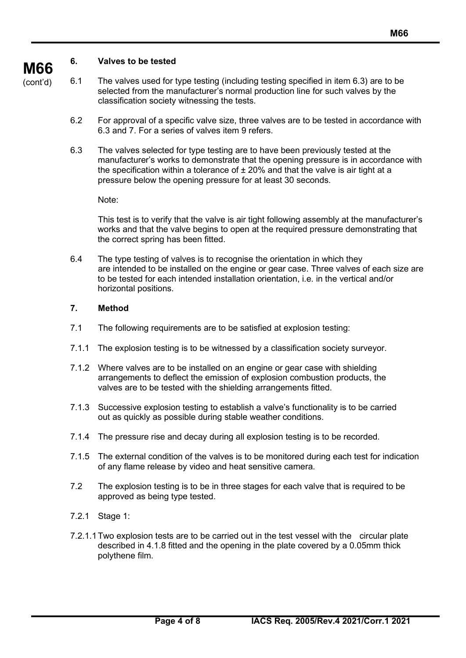#### **6. Valves to be tested**

**M66** (cont'd)

6.1 The valves used for type testing (including testing specified in item 6.3) are to be selected from the manufacturer's normal production line for such valves by the classification society witnessing the tests.

- 6.2 For approval of a specific valve size, three valves are to be tested in accordance with 6.3 and 7. For a series of valves item 9 refers.
- 6.3 The valves selected for type testing are to have been previously tested at the manufacturer's works to demonstrate that the opening pressure is in accordance with the specification within a tolerance of  $\pm 20\%$  and that the valve is air tight at a pressure below the opening pressure for at least 30 seconds.

Note:

This test is to verify that the valve is air tight following assembly at the manufacturer's works and that the valve begins to open at the required pressure demonstrating that the correct spring has been fitted.

6.4 The type testing of valves is to recognise the orientation in which they are intended to be installed on the engine or gear case. Three valves of each size are to be tested for each intended installation orientation, i.e. in the vertical and/or horizontal positions.

#### **7. Method**

- 7.1 The following requirements are to be satisfied at explosion testing:
- 7.1.1 The explosion testing is to be witnessed by a classification society surveyor.
- 7.1.2 Where valves are to be installed on an engine or gear case with shielding arrangements to deflect the emission of explosion combustion products, the valves are to be tested with the shielding arrangements fitted.
- 7.1.3 Successive explosion testing to establish a valve's functionality is to be carried out as quickly as possible during stable weather conditions.
- 7.1.4 The pressure rise and decay during all explosion testing is to be recorded.
- 7.1.5 The external condition of the valves is to be monitored during each test for indication of any flame release by video and heat sensitive camera.
- 7.2 The explosion testing is to be in three stages for each valve that is required to be approved as being type tested.
- 7.2.1 Stage 1:
- 7.2.1.1Two explosion tests are to be carried out in the test vessel with the circular plate described in 4.1.8 fitted and the opening in the plate covered by a 0.05mm thick polythene film.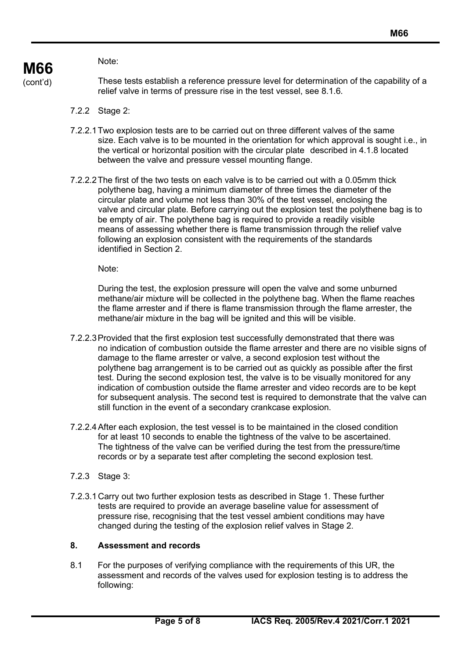Note:

These tests establish a reference pressure level for determination of the capability of a relief valve in terms of pressure rise in the test vessel, see 8.1.6.

- 7.2.2 Stage 2:
- 7.2.2.1Two explosion tests are to be carried out on three different valves of the same size. Each valve is to be mounted in the orientation for which approval is sought i.e., in the vertical or horizontal position with the circular plate described in 4.1.8 located between the valve and pressure vessel mounting flange.
- 7.2.2.2The first of the two tests on each valve is to be carried out with a 0.05mm thick polythene bag, having a minimum diameter of three times the diameter of the circular plate and volume not less than 30% of the test vessel, enclosing the valve and circular plate. Before carrying out the explosion test the polythene bag is to be empty of air. The polythene bag is required to provide a readily visible means of assessing whether there is flame transmission through the relief valve following an explosion consistent with the requirements of the standards identified in Section 2.

Note:

During the test, the explosion pressure will open the valve and some unburned methane/air mixture will be collected in the polythene bag. When the flame reaches the flame arrester and if there is flame transmission through the flame arrester, the methane/air mixture in the bag will be ignited and this will be visible.

- 7.2.2.3Provided that the first explosion test successfully demonstrated that there was no indication of combustion outside the flame arrester and there are no visible signs of damage to the flame arrester or valve, a second explosion test without the polythene bag arrangement is to be carried out as quickly as possible after the first test. During the second explosion test, the valve is to be visually monitored for any indication of combustion outside the flame arrester and video records are to be kept for subsequent analysis. The second test is required to demonstrate that the valve can still function in the event of a secondary crankcase explosion.
- 7.2.2.4After each explosion, the test vessel is to be maintained in the closed condition for at least 10 seconds to enable the tightness of the valve to be ascertained. The tightness of the valve can be verified during the test from the pressure/time records or by a separate test after completing the second explosion test.
- 7.2.3 Stage 3:
- 7.2.3.1 Carry out two further explosion tests as described in Stage 1. These further tests are required to provide an average baseline value for assessment of pressure rise, recognising that the test vessel ambient conditions may have changed during the testing of the explosion relief valves in Stage 2.

### **8. Assessment and records**

8.1 For the purposes of verifying compliance with the requirements of this UR, the assessment and records of the valves used for explosion testing is to address the following: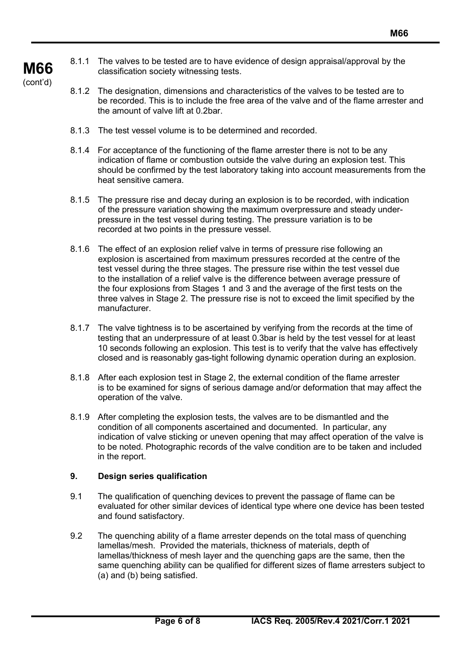8.1.1 The valves to be tested are to have evidence of design appraisal/approval by the classification society witnessing tests.

**M66** (cont'd)

- 8.1.2 The designation, dimensions and characteristics of the valves to be tested are to be recorded. This is to include the free area of the valve and of the flame arrester and the amount of valve lift at 0.2bar.
- 8.1.3 The test vessel volume is to be determined and recorded.
- 8.1.4 For acceptance of the functioning of the flame arrester there is not to be any indication of flame or combustion outside the valve during an explosion test. This should be confirmed by the test laboratory taking into account measurements from the heat sensitive camera.
- 8.1.5 The pressure rise and decay during an explosion is to be recorded, with indication of the pressure variation showing the maximum overpressure and steady underpressure in the test vessel during testing. The pressure variation is to be recorded at two points in the pressure vessel.
- 8.1.6 The effect of an explosion relief valve in terms of pressure rise following an explosion is ascertained from maximum pressures recorded at the centre of the test vessel during the three stages. The pressure rise within the test vessel due to the installation of a relief valve is the difference between average pressure of the four explosions from Stages 1 and 3 and the average of the first tests on the three valves in Stage 2. The pressure rise is not to exceed the limit specified by the manufacturer.
- 8.1.7 The valve tightness is to be ascertained by verifying from the records at the time of testing that an underpressure of at least 0.3bar is held by the test vessel for at least 10 seconds following an explosion. This test is to verify that the valve has effectively closed and is reasonably gas-tight following dynamic operation during an explosion.
- 8.1.8 After each explosion test in Stage 2, the external condition of the flame arrester is to be examined for signs of serious damage and/or deformation that may affect the operation of the valve.
- 8.1.9 After completing the explosion tests, the valves are to be dismantled and the condition of all components ascertained and documented. In particular, any indication of valve sticking or uneven opening that may affect operation of the valve is to be noted. Photographic records of the valve condition are to be taken and included in the report.

#### **9. Design series qualification**

- 9.1 The qualification of quenching devices to prevent the passage of flame can be evaluated for other similar devices of identical type where one device has been tested and found satisfactory.
- 9.2 The quenching ability of a flame arrester depends on the total mass of quenching lamellas/mesh. Provided the materials, thickness of materials, depth of lamellas/thickness of mesh layer and the quenching gaps are the same, then the same quenching ability can be qualified for different sizes of flame arresters subject to (a) and (b) being satisfied.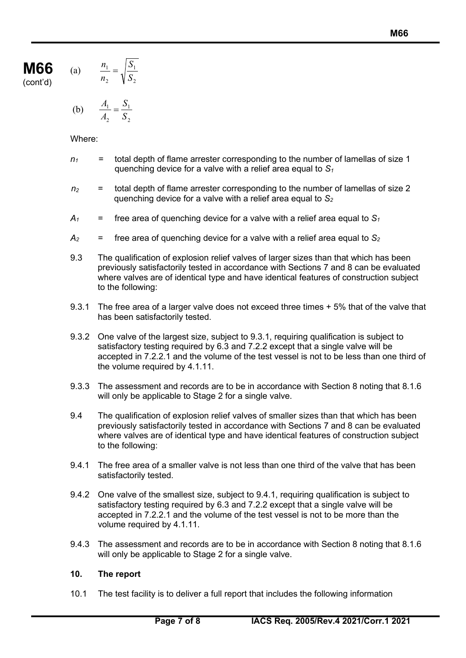$$
\text{(a)} \qquad \frac{n_1}{n_2} = \sqrt{\frac{S_1}{S_2}}
$$

**M66** (cont'd)

(b) 
$$
\frac{A_1}{A_2} = \frac{S_1}{S_2}
$$

Where:

- $n_1$  = total depth of flame arrester corresponding to the number of lamellas of size 1 quenching device for a valve with a relief area equal to  $S_1$
- *n2* = total depth of flame arrester corresponding to the number of lamellas of size 2 quenching device for a valve with a relief area equal to *S2*
- $A_1$  = free area of quenching device for a valve with a relief area equal to  $S_1$
- $A_2$  = free area of quenching device for a valve with a relief area equal to  $S_2$
- 9.3 The qualification of explosion relief valves of larger sizes than that which has been previously satisfactorily tested in accordance with Sections 7 and 8 can be evaluated where valves are of identical type and have identical features of construction subject to the following:
- 9.3.1 The free area of a larger valve does not exceed three times + 5% that of the valve that has been satisfactorily tested.
- 9.3.2 One valve of the largest size, subject to 9.3.1, requiring qualification is subject to satisfactory testing required by 6.3 and 7.2.2 except that a single valve will be accepted in 7.2.2.1 and the volume of the test vessel is not to be less than one third of the volume required by 4.1.11.
- 9.3.3 The assessment and records are to be in accordance with Section 8 noting that 8.1.6 will only be applicable to Stage 2 for a single valve.
- 9.4 The qualification of explosion relief valves of smaller sizes than that which has been previously satisfactorily tested in accordance with Sections 7 and 8 can be evaluated where valves are of identical type and have identical features of construction subject to the following:
- 9.4.1 The free area of a smaller valve is not less than one third of the valve that has been satisfactorily tested.
- 9.4.2 One valve of the smallest size, subject to 9.4.1, requiring qualification is subject to satisfactory testing required by 6.3 and 7.2.2 except that a single valve will be accepted in 7.2.2.1 and the volume of the test vessel is not to be more than the volume required by 4.1.11.
- 9.4.3 The assessment and records are to be in accordance with Section 8 noting that 8.1.6 will only be applicable to Stage 2 for a single valve.

# **10. The report**

10.1 The test facility is to deliver a full report that includes the following information